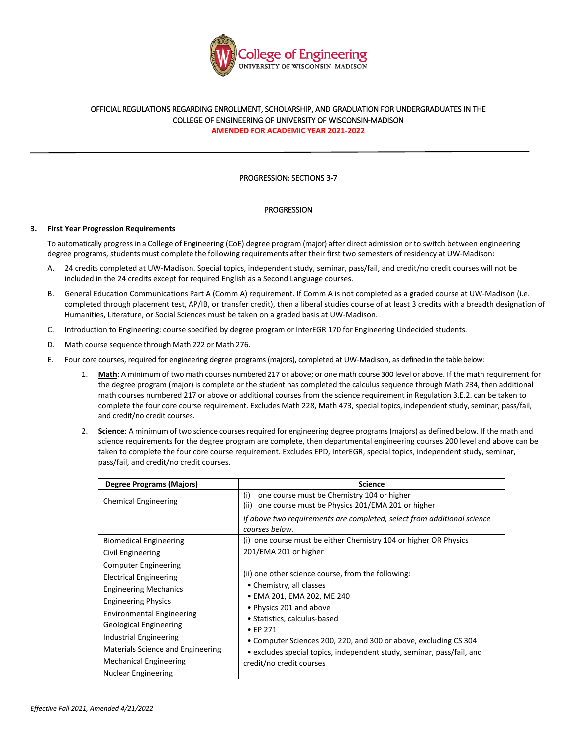

# OFFICIAL REGULATIONS REGARDING ENROLLMENT, SCHOLARSHIP, AND GRADUATION FOR UNDERGRADUATES IN THE COLLEGE OF ENGINEERING OF UNIVERSITY OF WISCONSIN-MADISON

**AMENDED FOR ACADEMIC YEAR 2021-2022**

## PROGRESSION: SECTIONS 3-7

## PROGRESSION

#### **3. First Year Progression Requirements**

To automatically progress in a College of Engineering (CoE) degree program (major) after direct admission or to switch between engineering degree programs, students must complete the following requirements after their first two semesters of residency at UW-Madison:

- A. 24 credits completed at UW-Madison. Special topics, independent study, seminar, pass/fail, and credit/no credit courses will not be included in the 24 credits except for required English as a Second Language courses.
- B. General Education Communications Part A (Comm A) requirement. If Comm A is not completed as a graded course at UW-Madison (i.e. completed through placement test, AP/IB, or transfer credit), then a liberal studies course of at least 3 credits with a breadth designation of Humanities, Literature, or Social Sciences must be taken on a graded basis at UW-Madison.
- C. Introduction to Engineering: course specified by degree program or InterEGR 170 for Engineering Undecided students.
- D. Math course sequence through Math 222 or Math 276.
- E. Four core courses, required for engineering degree programs (majors), completed at UW-Madison, as defined in the table below:
	- 1. **Math**: A minimum of two math courses numbered 217 or above; or one math course 300 level or above. If the math requirement for the degree program (major) is complete or the student has completed the calculus sequence through Math 234, then additional math courses numbered 217 or above or additional courses from the science requirement in Regulation 3.E.2. can be taken to complete the four core course requirement. Excludes Math 228, Math 473, special topics, independent study, seminar, pass/fail, and credit/no credit courses.
	- 2. **Science**: A minimum of two science courses required for engineering degree programs (majors) as defined below. If the math and science requirements for the degree program are complete, then departmental engineering courses 200 level and above can be taken to complete the four core course requirement. Excludes EPD, InterEGR, special topics, independent study, seminar, pass/fail, and credit/no credit courses.

| Degree Programs (Majors)          | <b>Science</b>                                                          |
|-----------------------------------|-------------------------------------------------------------------------|
| <b>Chemical Engineering</b>       | one course must be Chemistry 104 or higher<br>(i)                       |
|                                   | one course must be Physics 201/EMA 201 or higher<br>(ii)                |
|                                   | If above two requirements are completed, select from additional science |
|                                   | courses below.                                                          |
| <b>Biomedical Engineering</b>     | (i) one course must be either Chemistry 104 or higher OR Physics        |
| Civil Engineering                 | 201/EMA 201 or higher                                                   |
| <b>Computer Engineering</b>       |                                                                         |
| <b>Electrical Engineering</b>     | (ii) one other science course, from the following:                      |
| <b>Engineering Mechanics</b>      | • Chemistry, all classes                                                |
| <b>Engineering Physics</b>        | • EMA 201, EMA 202, ME 240                                              |
| <b>Environmental Engineering</b>  | • Physics 201 and above                                                 |
| Geological Engineering            | • Statistics, calculus-based<br>$\bullet$ EP 271                        |
| Industrial Engineering            | • Computer Sciences 200, 220, and 300 or above, excluding CS 304        |
| Materials Science and Engineering | • excludes special topics, independent study, seminar, pass/fail, and   |
| <b>Mechanical Engineering</b>     | credit/no credit courses                                                |
| Nuclear Engineering               |                                                                         |